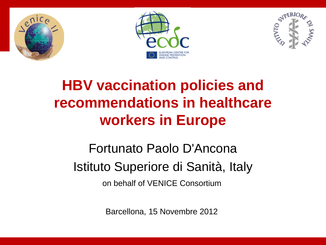



# **HBV vaccination policies and recommendations in healthcare workers in Europe**

# Fortunato Paolo D'Ancona Istituto Superiore di Sanità, Italy

on behalf of VENICE Consortium

Barcellona, 15 Novembre 2012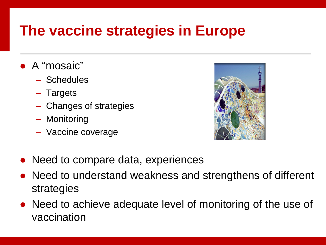#### **The vaccine strategies in Europe**

- A "mosaic"
	- Schedules
	- Targets
	- Changes of strategies
	- Monitoring
	- Vaccine coverage



- Need to compare data, experiences
- Need to understand weakness and strengthens of different strategies
- Need to achieve adequate level of monitoring of the use of vaccination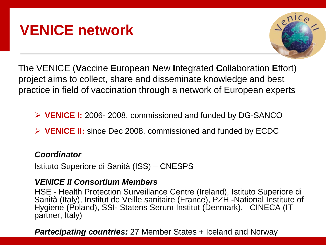#### **VENICE network**



The VENICE (**V**accine **E**uropean **N**ew **I**ntegrated **C**ollaboration **E**ffort) project aims to collect, share and disseminate knowledge and best practice in field of vaccination through a network of European experts

**VENICE I:** 2006- 2008, commissioned and funded by DG-SANCO

**VENICE II:** since Dec 2008, commissioned and funded by ECDC

#### *Coordinator*

Istituto Superiore di Sanità (ISS) – CNESPS

#### *VENICE II Consortium Members*

HSE - Health Protection Surveillance Centre (Ireland), Istituto Superiore di Sanità (Italy), Institut de Veille sanitaire (France), PZH -National Institute of Hygiene (Poland), SSI- Statens Serum Institut (Denmark), CINECA (IT partner, Italy)

*Partecipating countries:* 27 Member States + Iceland and Norway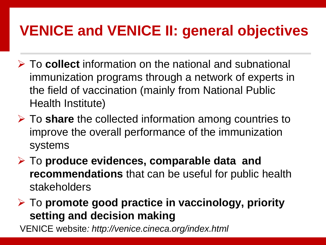### **VENICE and VENICE II: general objectives**

- To **collect** information on the national and subnational immunization programs through a network of experts in the field of vaccination (mainly from National Public Health Institute)
- To **share** the collected information among countries to improve the overall performance of the immunization systems
- To **produce evidences, comparable data and recommendations** that can be useful for public health stakeholders

 To **promote good practice in vaccinology, priority setting and decision making**

VENICE website*: http://venice.cineca.org/index.html*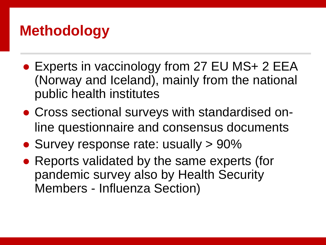#### **Methodology**

- Experts in vaccinology from 27 EU MS+ 2 EEA (Norway and Iceland), mainly from the national public health institutes
- Cross sectional surveys with standardised online questionnaire and consensus documents
- Survey response rate: usually > 90%
- Reports validated by the same experts (for pandemic survey also by Health Security Members - Influenza Section)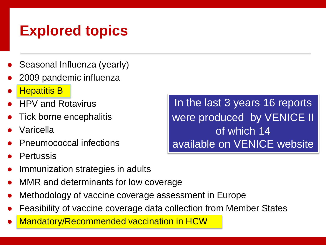## **Explored topics**

- Seasonal Influenza (yearly)
- 2009 pandemic influenza
- **Hepatitis B**
- **HPV and Rotavirus**
- Tick borne encephalitis
- Varicella
- **Pneumococcal infections**
- **Pertussis**
- Immunization strategies in adults
- MMR and determinants for low coverage
- Methodology of vaccine coverage assessment in Europe
- Feasibility of vaccine coverage data collection from Member States
- **Mandatory/Recommended vaccination in HCW**

In the last 3 years 16 reports were produced by VENICE II of which 14 available on VENICE website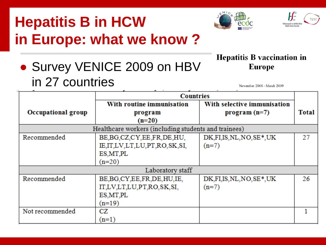# **Hepatitis B in HCW in Europe: what we know ?**





#### **Hepatitis B vaccination in Europe**

• Survey VENICE 2009 on HBV in 27 countries

November 2008 - March 2009

|                           | <b>Countries</b>                                     |                             |       |  |  |  |
|---------------------------|------------------------------------------------------|-----------------------------|-------|--|--|--|
|                           | With routine immunisation                            | With selective immunisation |       |  |  |  |
| <b>Occupational group</b> | program                                              | $program (n=7)$             | Total |  |  |  |
|                           | $(n=20)$                                             |                             |       |  |  |  |
|                           | Healthcare workers (including students and trainees) |                             |       |  |  |  |
| Recommended               | BE, BG, CZ, CY, EE, FR, DE, HU,                      | DK, FI, IS, NL, NO, SE*, UK | 27    |  |  |  |
|                           | IE,IT,LV,LT,LU,PT,RO,SK,SI,                          | $(n=7)$                     |       |  |  |  |
|                           | ES, MT, PL                                           |                             |       |  |  |  |
|                           | $(n=20)$                                             |                             |       |  |  |  |
| Laboratory staff          |                                                      |                             |       |  |  |  |
| Recommended               | BE, BG, CY, EE, FR, DE, HU, IE,                      | DK, FI, IS, NL, NO, SE*, UK | 26    |  |  |  |
|                           | IT,LV,LT,LU,PT,RO,SK,SI,                             | $(n=7)$                     |       |  |  |  |
|                           | ES, MT, PL                                           |                             |       |  |  |  |
|                           | $(n=19)$                                             |                             |       |  |  |  |
| Not recommended           | CZ                                                   |                             |       |  |  |  |
|                           | $(n=1)$                                              |                             |       |  |  |  |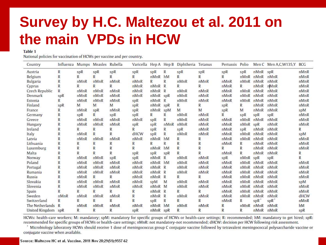## **Survey by H.C. Maltezou et al. 2011 on the main VPDs in HCW**

#### Table 1

National policies for vaccination of HCWs per vaccine and per country.

| Country            | Influenza Mumps Measles Rubella |      |              |      |              |                   |      | Varicella Hep A Hep B Diphtheria Tetanus |      | Pertussis Polio |          |               | Men C Men A, C, W135, Y BCG |      |
|--------------------|---------------------------------|------|--------------|------|--------------|-------------------|------|------------------------------------------|------|-----------------|----------|---------------|-----------------------------|------|
| Austria            | R                               | spR  | spR          | spR  | spR          | SPR               | R    | spR                                      | spR  | spR             | spR      | nMnR          | SPR                         | nMnR |
| Belgium            | R                               | R    | R            | R    | $\mathbb{R}$ | nMnR              | hM   | R                                        | R    | R               | nMnR     | nMnR          | nMnR                        | nMnR |
| <b>Bulgaria</b>    | R                               | nMnR | nMnR         | nMnR | nMnR         | R                 | R    | nMnR                                     | nMnR | nMnR            | nMnR     | nMnR          | nMnR                        | nMnR |
| Cyprus             | R                               | R    | R            | R    | nMnR         | nMnR <sub>R</sub> |      | R                                        | R    | nMnR            | R        | nMnR          | nMnR                        | nMnR |
| Czech Republic     | R                               | nMnR | nMnR         | nMnR | nMnR         | nMnR <sub>R</sub> |      | nMnR                                     | nMnR | nMnR            | nMnR     | nMnR          | nMnR                        | nMnR |
| Denmark            | spR                             | nMnR | nMnR         | nMnR | nMnR         | nMnR spR          |      | nMnR                                     | nMnR | nMnR            | nMnR     | nMnR          | nMnR                        | nMnR |
| Estonia            | R                               | nMnR | nMnR         | nMnR | spR          | $nMnR$ R          |      | nMnR                                     | nMnR | nMnR            | nMnR     | nMnR          | nMnR                        | nMnR |
| Finland            | spR                             | M    | M            | M    | SPR          | nMnR spR          |      | R                                        | R    | spR             | R        | nMnR          | nMnR                        | nMnR |
| France             | R                               | nMnR | spR          | nMnR | spR          | nMnR              | spM  | M                                        | M    | spR             | M        | nMnR          | nMnR                        | spM  |
| Germany            | R                               | spR  | R            | spR  | spR          | R                 | R    | nMnR                                     | nMnR | R               | spR      | spR           | spR                         | nMnR |
| Greece             | R                               | nMnR | nMnR         | nMnR | nMnR         | SPR               | R    | nMnR                                     | nMnR | nMnR            | nMnR     | nMnR          | nMnR                        | nMnR |
| Hungary            | R                               | nMnR | nMnR         | nMnR | spR          | spR               | nMnR | nMnR                                     | nMnR | nMnR            | nMnR spR |               | nMnR                        | nMnR |
| Ireland            | R                               | R    | R            | R    | $\mathbb{R}$ | SPR               | R    | spR                                      | nMnR | nMnR            | spR      | nMnR          | nMnR                        | R    |
| Italy              | R                               | nMnR | R            | R    | dHCW         | spR               | R    | nMnR                                     | nMnR | nMnR            | nMnR     | nMnR          | nMnR                        | spM  |
| Latvia             | R                               | nMnR | nMnR         | nMnR | nMnR         | nMnR              | hM   | $\mathbb{R}$                             | R    | nMnR            | nMnR     | nMnR          | nMnR                        | nMnR |
| Lithuania          | R                               | R    | R            | R.   | R            | R                 | R    | $\mathbb{R}$                             | R    | nMnR            | R        | nMnR          | nMnR                        | nMnR |
| Luxemburg          | R                               | R    | R            | R    | R            | nMnR              | hM   | $\mathbb{R}$                             | R    | R               | R        | nMnR          | nMnR                        | nMnR |
| Malta              | R                               | R    | R            | R    | SPR          | <b>spR</b>        | spR  | $\mathbb{R}$                             | R    | nMnR            | R        | nMnR          | nMnR                        | R    |
| Norway             | R                               | nMnR | nMnR         | spR  | SPR          | nMnR              | R    | nMnR                                     | nMnR | spR             | nMnR spR |               | spR                         | R    |
| Poland             | R                               | nMnR | nMnR         | nMnR | nMnR         | nMnR              | hM   | nMnR                                     | nMnR | nMnR            | nMnR     | nMnR          | nMnR                        | nMnR |
| Portugal           | R                               | nMnR | nMnR         | nMnR | nMnR         | $nMnR$ $R$        |      | nMnR                                     | nMnR | nMnR            | nMnR     | nMnR          | nMnR                        | nMnR |
| Rumania            | R                               | nMnR | nMnR         | nMnR | nMnR         | $nMnR$ $R$        |      | nMnR                                     | nMnR | nMnR            | nMnR     | nMnR          | nMnR                        | nMnR |
| Russia             | R                               | nMnR | R            | R    | nMnR         | nMnR <sub>R</sub> |      | $\mathbb{R}$                             | R    | nMnR            | nMnR     | nMnR          | nMnR                        | nMnR |
| Slovakia           | R                               | nMnR | nMnR         | nMnR | nMnR         | spM               | M    | nMnR                                     | nMnR | nMnR            | nMnR     | nMnR          | nMnR                        | spM  |
| Slovenia           | R                               | nMnR | nMnR         | nMnR | nMnR         | nMnR M            |      | nMnR                                     | nMnR | nMnR            |          | $nMnR$ $nMnR$ | nMnR                        | nMnR |
| Spain              | R                               | R    | R            | R    | $\mathbb{R}$ | nMnR <sub>R</sub> |      | R                                        | R    | nMnR            | nMnR     | nMnR          | nMnR                        | nMnR |
| Sweden             | nMnR                            | nMnR | nMnR         | nMnR | $\mathbb{R}$ | nMnR              | R    | nMnR                                     | nMnR | nMnR            | nMnR     | nMnR          | nMnR                        | dHCW |
| Switzerland        | R                               | R    | R            | R    | $\mathbb{R}$ | spR               | R    | $\mathbb{R}$                             | R    | nMnR            | R        | spR           | spR <sup>*</sup>            | nMnR |
| The Netherlands    | R                               | nMnR | nMnR         | nMnR | nMnR         | nMnR              | hM   | nMnR                                     | nMnR | R               | nMnR     | nMnR          | nMnR                        | hM   |
| United Kingdom spR |                                 | R    | $\mathbb{R}$ | R    | spR          | nMnR spR          |      | R                                        | R    | R               | R        | nMnR          | nMnR                        | spR  |

HCWs: health-care workers; M: mandatory; spM: mandatory for specific groups of HCWs or health-care settings; R: recommended; hM: mandatory to get hired; spR: recommended for specific groups of HCWs or health-care settings; nMnR: not mandatory-not recommended; dHCW: decision per HCW following risk assessment.

Microbiology laboratory HCWs should receive 1 dose of meningococcus group C conjugate vaccine followed by tetravalent meningococcal polysaccharide vaccine or conjugate vaccine when available.

#### Source: Maltezou HC et al. Vaccine. 2011 Nov 28;29(51):9557-62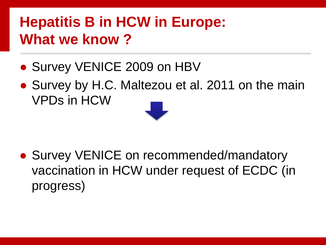## **Hepatitis B in HCW in Europe: What we know ?**

- Survey VENICE 2009 on HBV
- Survey by H.C. Maltezou et al. 2011 on the main VPDs in HCW



● Survey VENICE on recommended/mandatory vaccination in HCW under request of ECDC (in progress)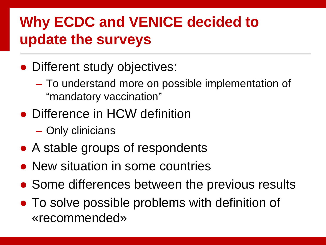## **Why ECDC and VENICE decided to update the surveys**

- Different study objectives:
	- To understand more on possible implementation of "mandatory vaccination"
- Difference in HCW definition
	- Only clinicians
- A stable groups of respondents
- New situation in some countries
- Some differences between the previous results
- To solve possible problems with definition of «recommended»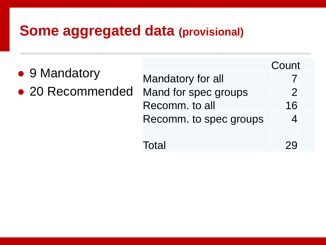#### **Some aggregated data (provisional)**

|                  |                        | Count         |
|------------------|------------------------|---------------|
| • 9 Mandatory    | Mandatory for all      |               |
| • 20 Recommended | Mand for spec groups   | $\mathcal{P}$ |
|                  | Recomm. to all         | 16            |
|                  | Recomm. to spec groups |               |
|                  |                        |               |
|                  | Total                  |               |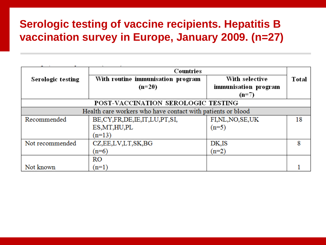#### **Serologic testing of vaccine recipients. Hepatitis B vaccination survey in Europe, January 2009. (n=27)**

|                   | Countries                                                   |                      |       |  |  |
|-------------------|-------------------------------------------------------------|----------------------|-------|--|--|
| Serologic testing | With routine immunisation program                           | With selective       | Total |  |  |
|                   | $(n=20)$                                                    | immunisation program |       |  |  |
|                   |                                                             | $(n=7)$              |       |  |  |
|                   | POST-VACCINATION SEROLOGIC TESTING                          |                      |       |  |  |
|                   | Health care workers who have contact with patients or blood |                      |       |  |  |
| Recommended       | BE, CY, FR, DE, IE, IT, LU, PT, SI,                         | FI,NL,NO,SE,UK       | 18    |  |  |
|                   | ES, MT, HU, PL                                              | $(n=5)$              |       |  |  |
|                   | $(n=13)$                                                    |                      |       |  |  |
| Not recommended   | CZ, EE, LV, LT, SK, BG                                      | DK,IS                | 8     |  |  |
|                   | $(n=6)$                                                     | $(n=2)$              |       |  |  |
|                   | <b>RO</b>                                                   |                      |       |  |  |
| Not known         | $(n=1)$                                                     |                      |       |  |  |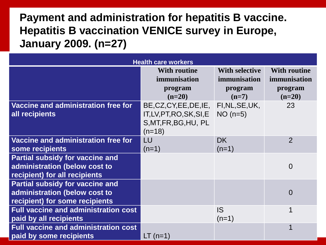#### **Payment and administration for hepatitis B vaccine. Hepatitis B vaccination VENICE survey in Europe, January 2009. (n=27)**

| <b>Health care workers</b>                                                                                |                                                                                                           |                                                  |                                                |  |  |  |  |
|-----------------------------------------------------------------------------------------------------------|-----------------------------------------------------------------------------------------------------------|--------------------------------------------------|------------------------------------------------|--|--|--|--|
|                                                                                                           | <b>With routine</b><br>immunisation<br>program                                                            | <b>With selective</b><br>immunisation<br>program | <b>With routine</b><br>immunisation<br>program |  |  |  |  |
|                                                                                                           | $(n=20)$                                                                                                  | $(n=7)$                                          | $(n=20)$                                       |  |  |  |  |
| Vaccine and administration free for<br>all recipients                                                     | BE, CZ, CY, EE, DE, IE, FI, NL, SE, UK,<br>IT, LV, PT, RO, SK, SI, E<br>S, MT, FR, BG, HU, PL<br>$(n=18)$ | $NO(n=5)$                                        | 23                                             |  |  |  |  |
| Vaccine and administration free for<br>some recipients                                                    | LU<br>$(n=1)$                                                                                             | <b>DK</b><br>$(n=1)$                             | $\overline{2}$                                 |  |  |  |  |
| <b>Partial subsidy for vaccine and</b><br>administration (below cost to<br>recipient) for all recipients  |                                                                                                           |                                                  | $\overline{0}$                                 |  |  |  |  |
| <b>Partial subsidy for vaccine and</b><br>administration (below cost to<br>recipient) for some recipients |                                                                                                           |                                                  | $\overline{0}$                                 |  |  |  |  |
| <b>Full vaccine and administration cost</b><br>paid by all recipients                                     |                                                                                                           | <b>IS</b><br>$(n=1)$                             | 1                                              |  |  |  |  |
| <b>Full vaccine and administration cost</b><br>paid by some recipients                                    | $LT$ (n=1)                                                                                                |                                                  |                                                |  |  |  |  |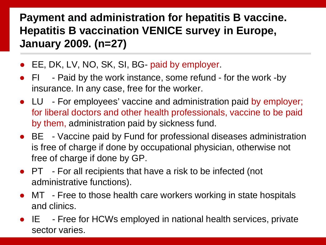#### **Payment and administration for hepatitis B vaccine. Hepatitis B vaccination VENICE survey in Europe, January 2009. (n=27)**

- EE, DK, LV, NO, SK, SI, BG- paid by employer.
- FI Paid by the work instance, some refund for the work -by insurance. In any case, free for the worker.
- LU For employees' vaccine and administration paid by employer; for liberal doctors and other health professionals, vaccine to be paid by them, administration paid by sickness fund.
- BE Vaccine paid by Fund for professional diseases administration is free of charge if done by occupational physician, otherwise not free of charge if done by GP.
- PT For all recipients that have a risk to be infected (not administrative functions).
- MT Free to those health care workers working in state hospitals and clinics.
- IE Free for HCWs employed in national health services, private sector varies.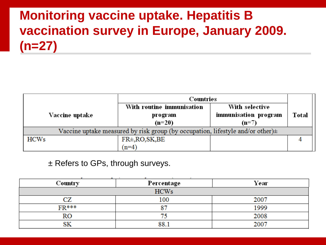#### **Monitoring vaccine uptake. Hepatitis B vaccination survey in Europe, January 2009. (n=27)**

|                                                                                     | Countries                 |                      |       |  |  |
|-------------------------------------------------------------------------------------|---------------------------|----------------------|-------|--|--|
|                                                                                     | With routine immunisation | With selective       |       |  |  |
| Vaccine uptake                                                                      | program                   | immunisation program | Total |  |  |
|                                                                                     | $(n=20)$                  | $(n=7)$              |       |  |  |
| Vaccine uptake measured by risk group (by occupation, lifestyle and/or other) $\pm$ |                           |                      |       |  |  |
| <b>HCWs</b>                                                                         | FR±, RO, SK, BE           |                      |       |  |  |
|                                                                                     | $(n=4)$                   |                      |       |  |  |

#### ± Refers to GPs, through surveys.

| the control of the control of the control of |            |      |  |  |  |  |  |
|----------------------------------------------|------------|------|--|--|--|--|--|
| Country                                      | Percentage | Year |  |  |  |  |  |
| <b>HCWs</b>                                  |            |      |  |  |  |  |  |
| CZ                                           | 100        | 2007 |  |  |  |  |  |
| <b>FR***</b>                                 | רים        | 1999 |  |  |  |  |  |
| RO                                           |            | 2008 |  |  |  |  |  |
| SK                                           | 88.        | 2007 |  |  |  |  |  |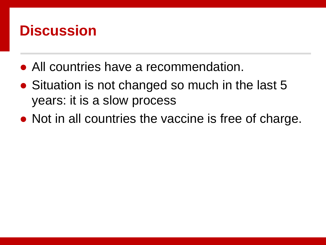#### **Discussion**

- All countries have a recommendation.
- Situation is not changed so much in the last 5 years: it is a slow process
- Not in all countries the vaccine is free of charge.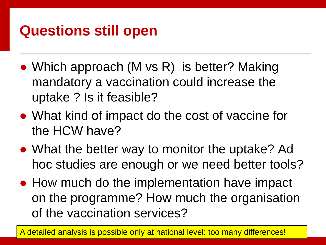### **Questions still open**

- Which approach (M vs R) is better? Making mandatory a vaccination could increase the uptake ? Is it feasible?
- What kind of impact do the cost of vaccine for the HCW have?
- What the better way to monitor the uptake? Ad hoc studies are enough or we need better tools?
- How much do the implementation have impact on the programme? How much the organisation of the vaccination services?

A detailed analysis is possible only at national level: too many differences!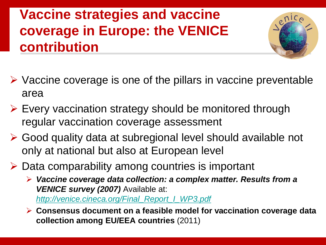#### **Vaccine strategies and vaccine coverage in Europe: the VENICE contribution**



- $\triangleright$  Vaccine coverage is one of the pillars in vaccine preventable area
- $\triangleright$  Every vaccination strategy should be monitored through regular vaccination coverage assessment
- Good quality data at subregional level should available not only at national but also at European level
- $\triangleright$  Data comparability among countries is important

 *Vaccine coverage data collection: a complex matter. Results from a*  **VENICE survey (2007)** Available at: *[http://venice.cineca.org/Final\\_Report\\_I\\_WP3.pdf](http://venice.cineca.org/Final_Report_I_WP3.pdf)*

 **Consensus document on a feasible model for vaccination coverage data collection among EU/EEA countries** (2011)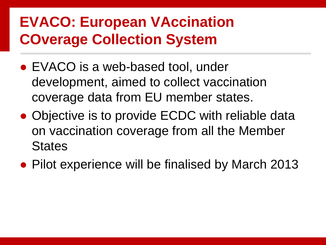## **EVACO: European VAccination COverage Collection System**

- EVACO is a web-based tool, under development, aimed to collect vaccination coverage data from EU member states.
- Objective is to provide ECDC with reliable data on vaccination coverage from all the Member **States**
- Pilot experience will be finalised by March 2013